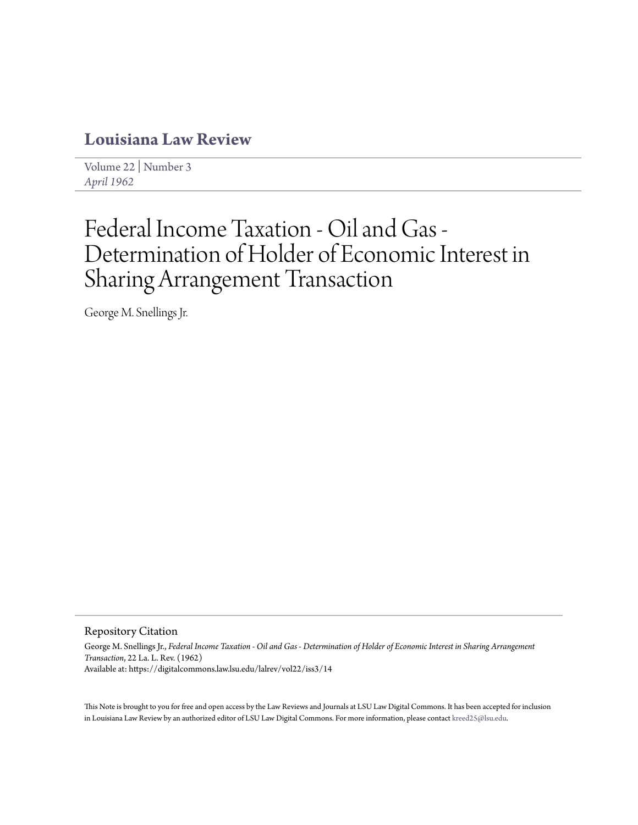# **[Louisiana Law Review](https://digitalcommons.law.lsu.edu/lalrev)**

[Volume 22](https://digitalcommons.law.lsu.edu/lalrev/vol22) | [Number 3](https://digitalcommons.law.lsu.edu/lalrev/vol22/iss3) *[April 1962](https://digitalcommons.law.lsu.edu/lalrev/vol22/iss3)*

# Federal Income Taxation - Oil and Gas - Determination of Holder of Economic Interest in Sharing Arrangement Transaction

George M. Snellings Jr.

Repository Citation

George M. Snellings Jr., *Federal Income Taxation - Oil and Gas - Determination of Holder of Economic Interest in Sharing Arrangement Transaction*, 22 La. L. Rev. (1962) Available at: https://digitalcommons.law.lsu.edu/lalrev/vol22/iss3/14

This Note is brought to you for free and open access by the Law Reviews and Journals at LSU Law Digital Commons. It has been accepted for inclusion in Louisiana Law Review by an authorized editor of LSU Law Digital Commons. For more information, please contact [kreed25@lsu.edu](mailto:kreed25@lsu.edu).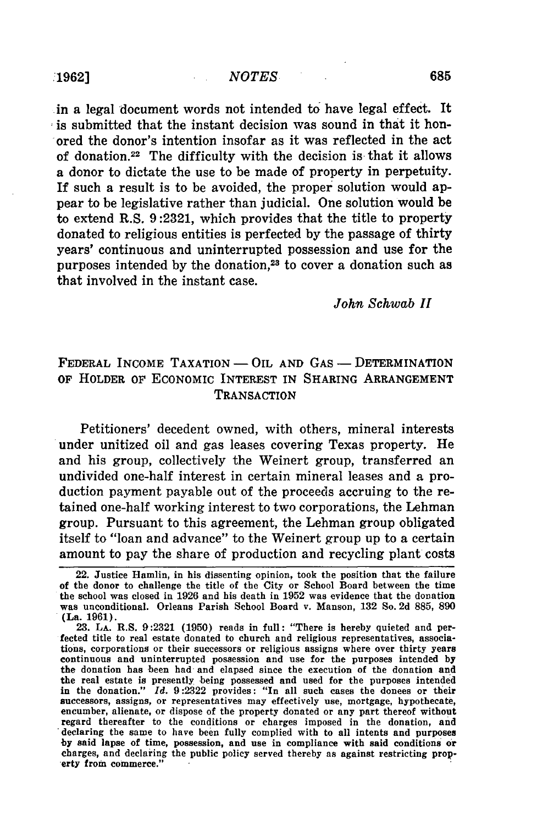in a legal document words not intended to have legal effect. It is submitted that the instant decision was sound in that it honored the donor's intention insofar as it was reflected in the act of donation.<sup>22</sup> The difficulty with the decision is that it allows a donor to dictate the use to be made of property in perpetuity. If such a result is to be avoided, the proper solution would appear to be legislative rather than judicial. One solution would be to extend R.S. 9:2321, which provides that the title to property donated to religious entities is perfected by the passage of thirty years' continuous and uninterrupted possession and use for the purposes intended by the donation,<sup>23</sup> to cover a donation such as that involved in the instant case.

#### *John Schwab <sup>11</sup>*

## FEDERAL INCOME TAXATION - OIL AND GAS - DETERMINATION OF HOLDER OF ECONOMIC INTEREST **IN** SHARING ARRANGEMENT **TRANSACTION**

Petitioners' decedent owned, with others, mineral interests under unitized oil and gas leases covering Texas property. He and his group, collectively the Weinert group, transferred an undivided one-half interest in certain mineral leases and a production payment payable out of the proceeds accruing to the retained one-half working interest to two corporations, the Lehman group. Pursuant to this agreement, the Lehman group obligated itself to "loan and advance" to the Weinert group up to a certain amount to pay the share of production and recycling plant costs

<sup>22.</sup> Justice Hanmlin, in his dissenting opinion, took the position that the failure of the donor to challenge the title of the City or School Board between the time the school was closed in 1926 and his death in 1952 was evidence that the donation was unconditional. Orleans Parish School Board v. Manson, 132 So. 2d 885, **890** (La. 1961).

<sup>23.</sup> LA. R.S. 9:2321 **(1950)** reads in full: "There is hereby quieted and perfected title to real estate donated to church and religious representatives, associations, corporations or their successors or religious assigns where over thirty years continuous and uninterrupted possession and use for the purposes intended by the donation has been had and elapsed since the execution of the donation **and** the real estate is presently being possessed and used for the purposes intended in the donation." *Id.* 9:2322 provides: "In all such cases the donees or their successors, assigns, or representatives may effectively use, mortgage, hypothecate, encumber, alienate, or dispose of the property donated or any part thereof without regard thereafter to the conditions or charges imposed in the donation, and declaring the same to have been fully complied with to all intents and purposes **by** said lapse of time, possession, and use in compliance with said conditions or charges, and declaring the public policy served thereby as against restricting prop- 'erty from commerce."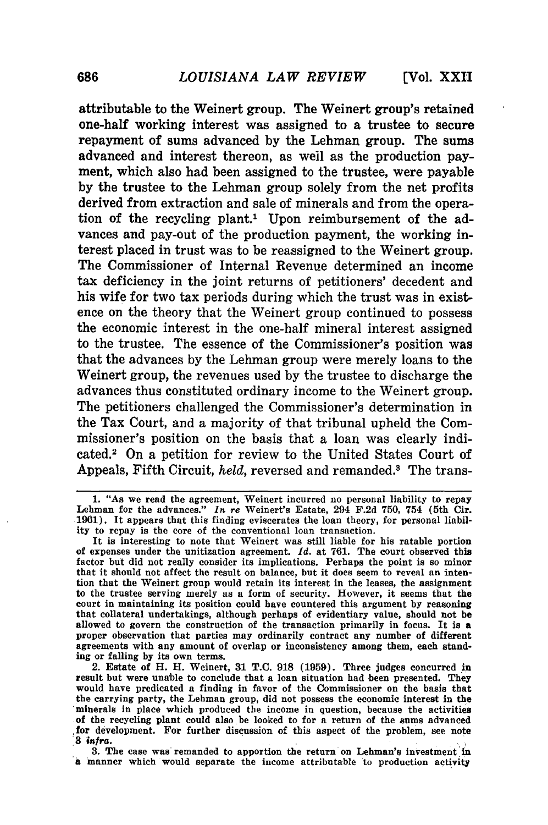attributable to the Weinert group. The Weinert group's retained one-half working interest was assigned to a trustee to secure repayment of sums advanced by the Lehman group. The sums advanced and interest thereon, as weil as the production payment, which also had been assigned to the trustee, were payable by the trustee to the Lehman group solely from the net profits derived from extraction and sale of minerals and from the operation of the recycling plant.' Upon reimbursement of the advances and pay-out of the production payment, the working interest placed in trust was to be reassigned to the Weinert group. The Commissioner of Internal Revenue determined an income tax deficiency in the joint returns of petitioners' decedent and his wife for two tax periods during which the trust was in existence on the theory that the Weinert group continued to possess the economic interest in the one-half mineral interest assigned to the trustee. The essence of the Commissioner's position was that the advances by the Lehman group were merely loans to the Weinert group, the revenues used by the trustee to discharge the advances thus constituted ordinary income to the Weinert group. The petitioners challenged the Commissioner's determination in the Tax Court, and a majority of that tribunal upheld the Commissioner's position on the basis that a loan was clearly indicated.<sup>2</sup> On a petition for review to the United States Court of Appeals, Fifth Circuit, *held*, reversed and remanded.<sup>3</sup> The trans-

2. Estate of H. H. Weinert, **31 T.C. 918 (1959).** Three judges concurred in result but were unable to conclude that a loan situation had been presented. They would have predicated a finding in favor of the Commissioner on the basis that the carrying party, the Lehman group, did not possess the economic interest in the minerals in place which produced the income in question, because the activities of the recycling plant could also **be** looked to for a return of the sums advanced for development. For further discussion of this aspect of the problem, see note **3** *infra.*

**3.** The case was remanded to apportion the return on Lehman's investment'in a manner which would separate the income attributable to production activity

**<sup>1. &</sup>quot;As** we read the agreement, Weinert incurred no personal liability to repay Lehman for the advances." *In* re Weinert's Estate, 294 **F.2d 750,** 754 (5th Cir. **1961).** It appears that this finding eviscerates the loan theory, for personal liability to repay is the core of the conventional loan transaction.

It is interesting to note that Weinert was still liable for his ratable portion of expenses under the unitization agreement. *Id.* at **761.** The court observed this factor **but** did not really consider its implications. Perhaps the point is so minor that it should not affect the result on balance, but it does seem to reveal an intention that the Weinert group would retain its interest in the leases, the assignment to the trustee serving merely as a form of security. However, it seems that the court in maintaining its position could have countered this argument **by** reasoning that collateral undertakings, although perhaps of evidentiary value, should not be allowed to govern the construction of the transaction primarily in focus. It is a proper observation that parties may ordinarily contract any number of different agreements with any amount of overlap or inconsistency among them, each standing or falling **by** its own terms.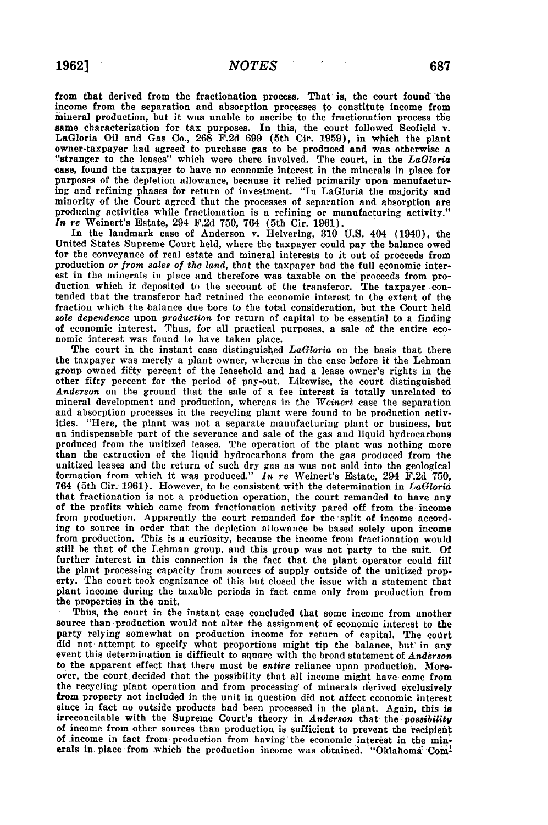from that derived from the fractionation process. That is, the court found the income from the separation and absorption processes **to** constitute income from imineral production, but it was unable to ascribe to the fractionation process the same characterization for tax purposes. In this, the court followed Scofield v. LaGloria Oil and Gas Co., **268 F.2d 699** (5th Cir. **1959),** in which the plant owner-taxpayer had agreed to purchase gas to be produced and was otherwise a "stranger to the leases" which were there involved. The court, in the *LaGloria* case, found the taxpayer to have no economic interest in the minerals in place for purposes of the depletion allowance, because it relied primarily upon manufactur**ing** and refining phases for return of investment. "In LaGloria the majority and minority of the Court agreed that the processes of separation and absorption are producing activities while fractionation is a refining or manufacturing activity." *In* re Weinert's Estate, 294 **F.2d 750,** 764 (5th Cir. **1961).**

In the landmark case of Anderson v. Helvering, **310 U.S.** 404 (1940), the United States Supreme Court held, where the taxpayer could pay the balance owed for the conveyance of real estate and mineral interests to it out of proceeds from production or *from sales of the land,* that the taxpayer had the full economic interest in the minerals in place and therefore was taxable on the proceeds from production which it deposited to the account of the transferor. The taxpayer con-<br>tended that the transferor had retained the economic interest to the extent of the fraction which the balance due bore to the total consideration, but the Court held *sole* dependence upon *production* for return of capital to be essential to a finding of economic interest. Thus, for all practical purposes, a sale of the entire eco- nomic interest was found to have taken place.

The court in the instant case distinguished *LaGloria* on the basis that there the taxpayer was merely a plant owner, whereas in the case before it the Lehman group owned fifty percent of the leasehold and had a lease owner's rights in the other fifty percent for the period of pay-out. Likewise, the court distinguished *Anderson* on the ground that the sale of a fee interest is totally unrelated to mineral development and production, whereas in the *Weinert* case the separation and absorption processes in the recycling plant were found to **be** production activities. "Here, the plant was not a separate manufacturing plant or business, but an indispensable part of the severance and sale of the gas and liquid hydrocarbons produced from the unitized leases. The operation of the pla than the extraction of the liquid hydrocarbons from the gas produced from the unitized leases and the return of such dry gas as was not sold into the geological formation from which it was produced." *In* re Weinert's Estate, 294 **F.2d 750,** 764 (5th Cir. **1961).** However, to be consistent with the determination in *LaGloria* that fractionation is not a production operation, the court remanded to have any of the profits which came from fractionation activity pared off from the income from production. Apparently the court remanded for the split of income according to source in order that the depletion allowance be based solely upon income from production. This is a curiosity, because the income from fractionation would still be that of the Lehman group, and this group was not party to the suit. **Of** further interest in this connection is the fact that the plant operator could fill the plant processing capacity from sources of supply outside of the unitized property. The court took cognizance of this but closed the issue with a statement that plant income during the taxable periods in fact came only from production from

the properties in the unit. **.** Thus, the court in the instant case concluded that some income from another source than production would not alter the assignment of economic interest to the party relying somewhat on production income for return of capital. The court did not attempt to specify what proportions might tip the balance, but' in any event this determination is difficult to square with the broad statement of *Anderson* to the apparent effect that there must be *entire* reliance upon production. Moreover, the court decided that the possibility that all income might have come from the recycling plant operation and from processing of minerals derived exclusively from property not included in the unit in question did not affect economic interest since in fact no outside products had been processed in the plant. Again, this is irreconcilable with the Supreme Court's theory in *Anderson* that the *possibility* of income from other sources than production is sufficient to prevent the iecipient of income in fact from production from having the economic interest in the minerals in place from which the production income was obtained. "Oklahoma Com<sup>1</sup>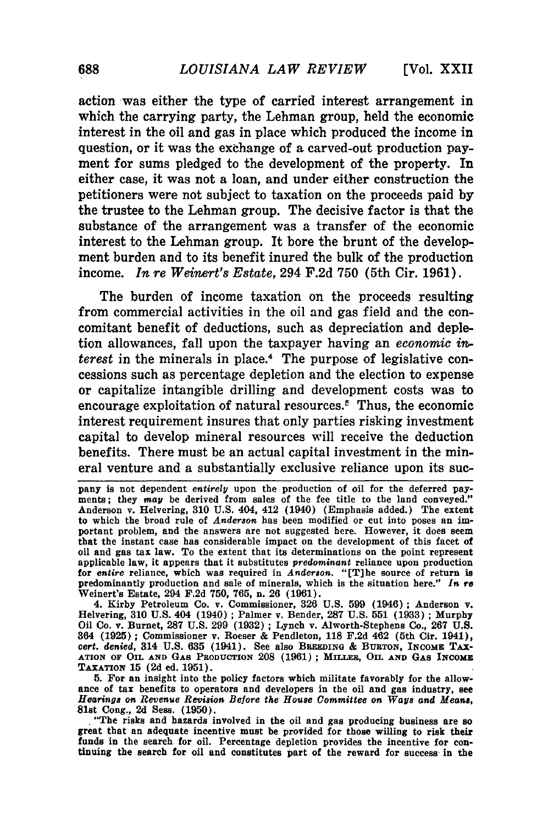**[Vol.** XXII

action was either the type of carried interest arrangement in which the carrying party, the Lehman group, held the economic interest in the oil and gas in place which produced the income in question, or it was the exchange of a carved-out production payment for sums pledged to the development of the property. In either case, it was not a loan, and under either construction the petitioners were not subject to taxation on the proceeds paid **by** the trustee to the Lehman group. The decisive factor is that the substance of the arrangement was a transfer of the economic interest to the Lehman group. It bore the brunt of the development burden and to its benefit inured the bulk of the production income. *In re Weinert's Estate,* 294 **F.2d 750** (5th Cir. **1961).**

The burden of income taxation on the proceeds resulting from commercial activities in the oil and gas field and the concomitant benefit of deductions, such as depreciation and depletion allowances, fall upon the taxpayer having an *economic in. terest* in the minerals in place.4 The purpose of legislative concessions such as percentage depletion and the election to expense or capitalize intangible drilling and development costs was to encourage exploitation of natural resources.<sup> $\epsilon$ </sup> Thus, the economic interest requirement insures that only parties risking investment capital to develop mineral resources will receive the deduction benefits. There must be an actual capital investment in the mineral venture and a substantially exclusive reliance upon its suc-

4. Kirby Petroleum Co. v. Commissioner, **326 U.S. 599** (1946); Anderson v. Helvering, **310 U.S.** 404 (1940) **;** Palmer v. Bender, **287 U.S. 551 (1933) ;** Murphy Oil Co. v. Burnet, **287 U.S. 299 (1932) ;** Lynch v. Alworth-Stephens **Co., 267 U.S.** 364 **(1925) ;** Commissioner v. Roeser **&** Pendleton, **118 F.2d** 462 (5th Cir. 1941), *cert. denied,* 314 **U.S. 635** (1941). See also **BREEDING & BURTON, INCOME TAX-ATION OF OIL AND GAS PRODUCTION 208 (1961) ;** MLUFR, **OIL AND GAS** INCOME **TAXATION 15 (2d** ed. **1951).**

**5.** For an insight into the policy factors which militate favorably for the allowance of tax benefits to operators and developers in the oil and gas industry, see Hearings on Revenue Revision Before the House Committee on Ways and Means,

81st Cong., **2d** Sess. **(1950). .** "The risks and hazards involved in the oil and gas producing business are **so** great that an adequate incentive must be provided for those willing to risk **their** funds in the search for oil. Percentage depletion provides the incentive for con- tinuing the search for oil and constitutes part of the reward for success in the

pany is not dependent *entirely* upon the production of oil for the deferred payments; they *may* be derived from sales of the fee title to the land conveyed." Anderson v. Helvering, **310 U.S.** 404, 412 (1940) (Emphasis added.) The extent to which the broad rule of *Anderson* has been modified or cut into poses an important problem, and the answers are not suggested here. However, it does seem that the instant case has considerable impact on the development of this facet of oil and gas tax law. To the extent that its determinations on the point represent applicable law, it appears that it substitutes *predominant* reliance upon production for *entire* reliance, which was required in *Anderson.* "[T]he source of return **is** predominantly production and sale of minerals, which is the situation here." *In re* Weinert's Estate, 294 **F.2d 750, 765,** n. 26 **(1961).**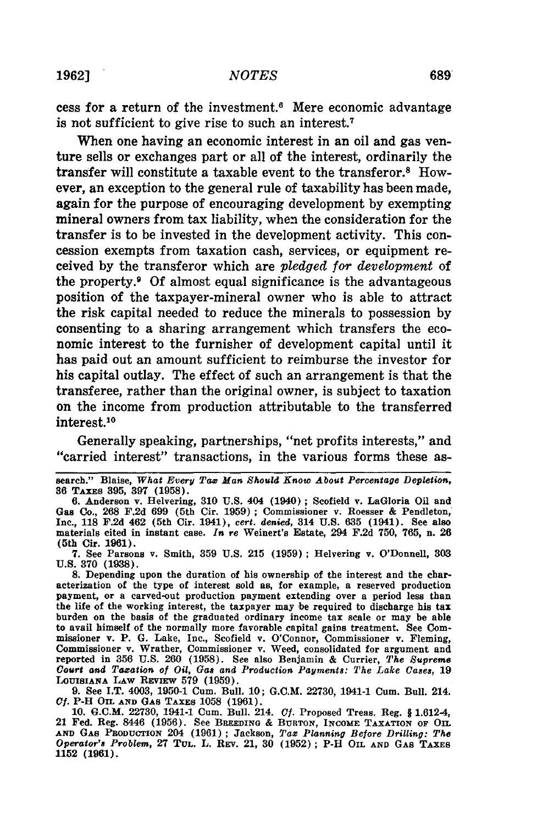cess for a return of the investment.6 Mere economic advantage is not sufficient to give rise to such an interest.7

When one having an economic interest in an oil and gas venture sells or exchanges part or all of the interest, ordinarily the transfer will constitute a taxable event to the transferor.8 However, an exception to the general rule of taxability has been made, again for the purpose of encouraging development by exempting mineral owners from tax liability, when the consideration for the transfer is to be invested in the development activity. This concession exempts from taxation cash, services, or equipment received by the transferor which are *pledged for development* of the property.9 Of almost equal significance is the advantageous position of the taxpayer-mineral owner who is able to attract the risk capital needed to reduce the minerals to possession by consenting to a sharing arrangement which transfers the economic interest to the furnisher of development capital until it has paid out an amount sufficient to reimburse the investor for his capital outlay. The effect of such an arrangement is that the transferee, rather than the original owner, is subject to taxation on the income from production attributable to the transferred interest.10

Generally speaking, partnerships, "net profits interests," and "carried interest" transactions, in the various forms these as-

**7. See** Parsons v. Smith, **359 U.S. 215 (1959);** Helvering v. O'Donnell, **303 U.S. 370 (1938).**

**8.** Depending upon the duration of his ownership of the interest and the characterization of the type of interest sold as, for example, a reserved production payment, or a carved-out production payment extending over a period less than the life of the working interest, the taxpayer may be required to discharge his tax burden on the basis of the graduated ordinary income tax scale or may be able to avail himself of the normally more favorable capital gains treatment. See Commissioner v. P. **G.** Lake, Inc., Scofield v. O'Connor, Commissioner v. Fleming, Commissioner v. Wrather, Commissioner v. Weed, consolidated for argument and reported in **356 U.S. 260 (1958).** See also Benjamin **&** Currier, *The Supreme Court* **and** *Taxation of Oil, Gas and Production Payments: The Lake Cases,* **19 LOUISIANA LAW** REvIEw **579 (1959).**

**9.** See I.T. 4003, **1950-1** Cum. Bull. **10; G.C.M. 22730,** 1941-1 Cum. Bull. 214. *Cf.* **P-H OIL AND GAS TAXES 1058 (1961).**

**10. G.C.M. 22730,** 1941-1 Cum. Bull. 214. *Cf.* Proposed Treas. Reg. **J** 1.612-4, 21 Fed. Reg. 8446 **(1956).** See **BREEDING & BURTON, INCOME TAXATION OF OIL AND GAS PRODUCTION** 204 **(1961) ;** Jackson, *Tax Planning Before Drilling: The Operator's Problem,* **27 TUL. L. REv. 21, 30 (1952) ; P-H OIL AND GAS TAXES 1152 (1961).**

search." Blaise, *What Every Tax Man Should Know About Percentage Depletion,* **36** TAXES **395, 397 (1958).**

**<sup>6.</sup>** Anderson v. Helvering, **310 U.S.** 404 (1940) ; Scofield v. LaGloria Oil and Gas Co., **268 F.2d 699** (5th Cir. **1959) ;** Commissioner v. Roesser **&** Pendleton, Inc., **118 F.2d** 462 (5th Cir. 1941), *cert. denied,* 314 **U.S. 635** (1941). See also materials cited in instant case. *In re* Weinert's Estate, 294 **F.2d 750, 765,** n. **26** (5th Cir. **1961).**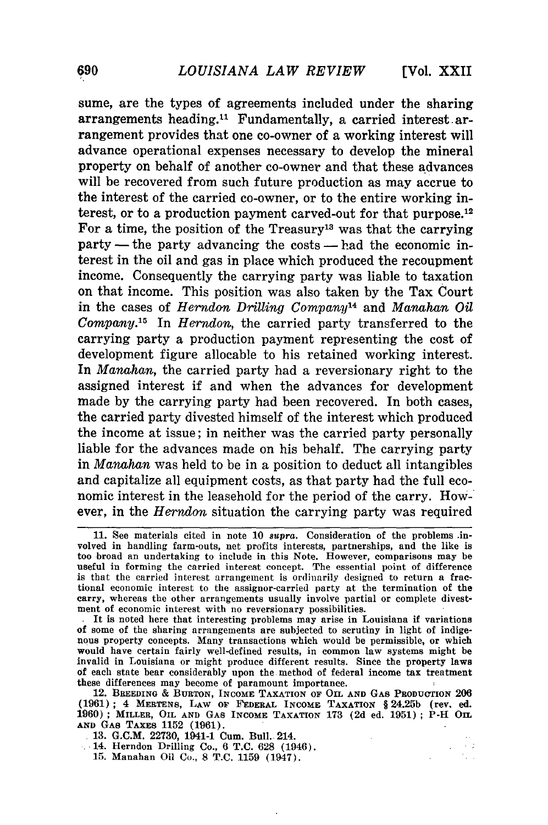**[Vol.** XXII

 $\sim 2$  $\tilde{\gamma}_{k+1}$ 

sume, are the types of agreements included under the sharing arrangements heading.<sup>11</sup> Fundamentally, a carried interest arrangement provides that one co-owner of a working interest will advance operational expenses necessary to develop the mineral property on behalf of another co-owner and that these advances will be recovered from such future production as may accrue to the interest of the carried co-owner, or to the entire working interest, or to a production payment carved-out for that purpose.<sup>12</sup> For a time, the position of the Treasury<sup>13</sup> was that the carrying  $party$ — the party advancing the costs — had the economic interest in the oil and gas in place which produced the recoupment income. Consequently the carrying party was liable to taxation on that income. This position was also taken **by** the Tax Court in the cases of *Herndon Drilling Company14* and *Manahan Oil Company.'6* In *Herndon,* the carried party transferred to the carrying party a production payment representing the cost of development figure allocable to his retained working interest. In *Manahan,* the carried party had a reversionary right to the assigned interest if and when the advances for development made by the carrying party had been recovered. In both cases, the carried party divested himself of the interest which produced the income at issue; in neither was the carried party personally liable for the advances made on his behalf. The carrying party in *Manahan* was held to be in a position to deduct all intangibles and capitalize all equipment costs, as that party had the full economic interest in the leasehold for the period of the carry. However, in the *Herndon* situation the carrying party was required

12. **BREEDING** & **BURTON, INCOME TAXATION OF OIL AND GAS PRODUCTION 206 (1961); 4 MERTENS, LAW OF FEDERAL INCOME TAXATION** § **24.25b (rev. ed. 19060) ; MILLER, OIL AND GAS INCOME TAXATION 173 (2d ed. 1951) ; P-H OIL AND GAS TAXES 1152 (1961).**

**13. G.C.M. 22730,** 1941-1 Cum. Bull. 214.

14. Herndon Drilling Co., **6 T.C.** 628 (1946).

15. Manahan Oil Co., 8 T.C. 1.159 (1947).

<sup>11.</sup> See materials cited in note 10 supra. Consideration of the problems involved in handling farm-outs, net profits interests, partnerships, and the like is too broad an undertaking to include in this Note. However, comparisons may be useful in forming the carried interest concept. The essential point of difference is that the carried interest arrangement is ordinarily designed to return a fractional economic interest to the assignor-carried party at the termination of the carry, whereas the other arrangements usually involve partial or complete divestment of economic interest with no reversionary possibilities.

It is noted here that interesting problems may arise in Louisiana if variations of some of the sharing arrangements are subjected to scrutiny in light of indige- nous property concepts. Many transactions which would be permissible, or which would have certain fairly well-defined results, in common law systems might be invalid in Louisiana or might produce different results. Since the property laws **Of** each state bear considerably upon the method of federal income tax treatment these differences may become of paramount importance.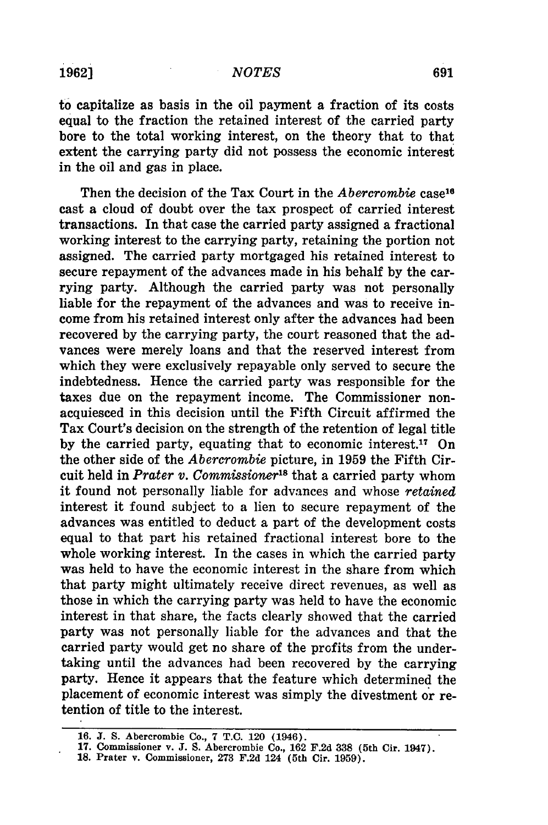to capitalize as basis in the oil payment a fraction of its costs equal to the fraction the retained interest of the carried party bore to the total working interest, on the theory that to that extent the carrying party did not possess the economic interest in the oil and gas in place.

Then the decision of the Tax Court in the *Abercrombie* case16 cast a cloud of doubt over the tax prospect of carried interest transactions. In that case the carried party assigned a fractional working interest to the carrying party, retaining the portion not assigned. The carried party mortgaged his retained interest to secure repayment of the advances made in his behalf **by** the carrying party. Although the carried party was not personally liable for the repayment of the advances and was to receive income from his retained interest only after the advances had been recovered **by** the carrying party, the court reasoned that the advances were merely loans and that the reserved interest from which they were exclusively repayable only served to secure the indebtedness. Hence the carried party was responsible for the taxes due on the repayment income. The Commissioner nonacquiesced in this decision until the Fifth Circuit affirmed the Tax Court's decision on the strength of the retention of legal title by the carried party, equating that to economic interest.<sup>17</sup> On the other side of the *Abercrombie* picture, in **1959** the Fifth Circuit held in *Prater v. Commissioner*<sup>18</sup> that a carried party whom it found not personally liable for advances and whose *retained* interest it found subject to a lien to secure repayment of the advances was entitled to deduct a part of the development costs equal to that part his retained fractional interest bore to the whole working interest. In the cases in which the carried party was held to have the economic interest in the share from which that party might ultimately receive direct revenues, as well as those in which the carrying party was held to have the economic interest in that share, the facts clearly showed that the carried party was not personally liable for the advances and that the carried party would get no share of the profits from the undertaking until the advances had been recovered by the carrying party. Hence it appears that the feature which determined the placement of economic interest was simply the divestment or retention of title to the interest.

**<sup>16.</sup> J. S. Abercrombie Co., 7 T.C. 120 (1946). 17. Commissioner v. J. S. Abercrombie Co., 162 F.2d 338 (5th Cir. 1947).**

**<sup>18.</sup> Prater v. Commissioner, 273 F.2d 124 (5th Cir. 1959).**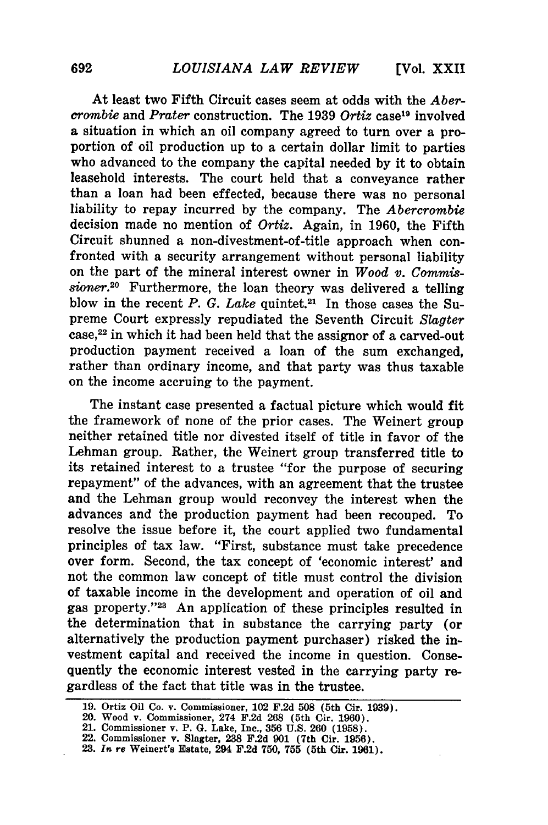At least two Fifth Circuit cases seem at odds with the *Abercrombie* and *Prater* construction. The 1939 *Ortiz* case<sup>19</sup> involved a situation in which an oil company agreed to turn over a proportion of oil production up to a certain dollar limit to parties who advanced to the company the capital needed by it to obtain leasehold interests. The court held that a conveyance rather than a loan had been effected, because there was no personal liability to repay incurred by the company. The *Abercrombie* decision made no mention of *Ortiz.* Again, in 1960, the Fifth Circuit shunned a non-divestment-of-title approach when confronted with a security arrangement without personal liability on the part of the mineral interest owner in *Wood v. Commissioner.20* Furthermore, the loan theory was delivered a telling blow in the recent *P. G. Lake* quintet.<sup>21</sup> In those cases the Supreme Court expressly repudiated the Seventh Circuit *Slagter* case, 22 in which it had been held that the assignor of a carved-out production payment received a loan of the sum exchanged, rather than ordinary income, and that party was thus taxable on the income accruing to the payment.

The instant case presented a factual picture which would fit the framework of none of the prior cases. The Weinert group neither retained title nor divested itself of title in favor of the Lehman group. Rather, the Weinert group transferred title to its retained interest to a trustee "for the purpose of securing repayment" of the advances, with an agreement that the trustee and the Lehman group would reconvey the interest when the advances and the production payment had been recouped. To resolve the issue before it, the court applied two fundamental principles of tax law. "First, substance must take precedence over form. Second, the tax concept of 'economic interest' and not the common law concept of title must control the division of taxable income in the development and operation of oil and gas property."<sup>23</sup> An application of these principles resulted in the determination that in substance the carrying party (or alternatively the production payment purchaser) risked the investment capital and received the income in question. Consequently the economic interest vested in the carrying party regardless of the fact that title was in the trustee.

**<sup>19.</sup> Ortiz** Oil **Co.** v. Commissioner, 102 **F.2d 508** (5th Cir. **1939).**

<sup>20.</sup> Wood v. Commissioner, 274 **F.2d 268 (5th** Cir. **1960).**

**<sup>21.</sup>** Commissioner v. **P. G.** Lake, Inc., **356 U.S. 260 (1958).**

<sup>22.</sup> Commissioner v. Slagter, **238 F.2d 901 (7th** Cir. **1956).**

**<sup>23.</sup>** *In re* **Weinert's** Estate, 294 **F.2d 750, 755 (5th Cir. 1961).**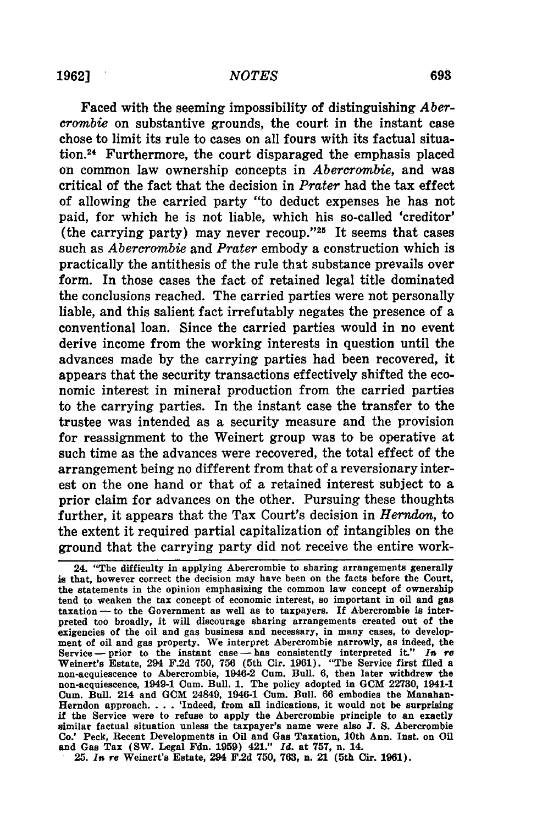Faced with the seeming impossibility of distinguishing *Abercrombie* on substantive grounds, the court in the instant case chose to limit its rule to cases on all fours with its factual situation.24 Furthermore, the court disparaged the emphasis placed on common law ownership concepts in *Abercrombie,* and was critical of the fact that the decision in *Prater* had the tax effect of allowing the carried party "to deduct expenses he has not paid, for which he is not liable, which his so-called 'creditor' (the carrying party) may never recoup."<sup>25</sup> It seems that cases such as *Abercrombie* and *Prater* embody a construction which is practically the antithesis of the rule that substance prevails over form. In those cases the fact of retained legal title dominated the conclusions reached. The carried parties were not personally liable, and this salient fact irrefutably negates the presence of a conventional loan. Since the carried parties would in no event derive income from the working interests in question until the advances made by the carrying parties had been recovered, it appears that the security transactions effectively shifted the economic interest in mineral production from the carried parties to the carrying parties. In the instant case the transfer to the trustee was intended as a security measure and the provision for reassignment to the Weinert group was to be operative at such time as the advances were recovered, the total effect of the arrangement being no different from that of a reversionary interest on the one hand or that of a retained interest subject to a prior claim for advances on the other. Pursuing these thoughts further, it appears that the Tax Court's decision in *Herndon,* to the extent it required partial capitalization of intangibles on the ground that the carrying party did not receive the entire work-

<sup>24. &</sup>quot;The difficulty in applying Abercrombie to sharing arrangements generally is that, however correct the decision may have been on the facts before the Court, the statements in the opinion emphasizing the common law concept of ownership tend to weaken the tax concept of economic interest, so important in oil and gas taxation - to the Government as well as to taxpayers. If Abercrombie is interpreted too broadly, it will discourage sharing arrangements created out of the exigencies of the oil and gas business and necessary, in many cases, to development of oil and gas property. We interpret Abercrombie narrowly, as indeed, the Service-prior to the instant case-has consistently interpreted it." *In re* Weinert's Estate, 294 F.2d 750, 756 (5th Cir. 1961). "The Service first filed a Weinert's Estate, 294 F.2d **750, 756** (5th Cir. 1961). "The Service first filed a non-acquiescence to Abercrombie, 1946-2 Cum. Bull. 6, then later withdrew the non-acquiescence, 1949-1 Cum. Bull. 1. The policy adopted in **GCM** 22730, 1941-1 Cum. Bull. 214 and **GCM** 24849, 1946-1 Cum. Bull. **66** embodies the Manahan-Herndon approach. . . . 'Indeed, from all indications, it would not be surprising if the Service were to refuse to apply the Abercrombie principle to **an** exactly similar factual situation unless the taxpayer's name were also **J. S.** Abercrombie Co.' Peck, Recent Developments in Oil and Gas Taxation, 10th Ann. Inst. on Oil and Gas Tax (SW. Legal Fdn. **1959)** 421." *Id.* at **757, n.** 14.

**<sup>25.</sup>** *Its* re Weinert's Estate, 294 F.2d **750, 763, n.** 21 (5th Cir. **1961).**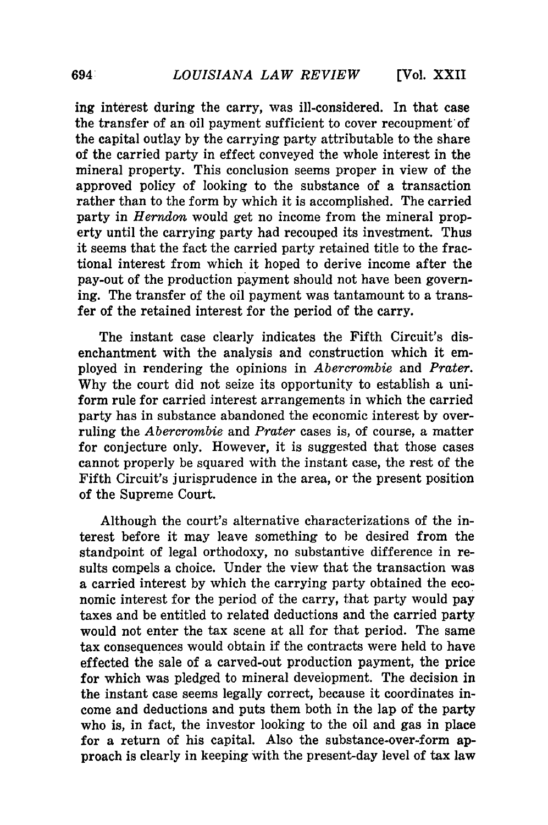ing interest during the carry, was ill-considered. In that case the transfer of an oil payment sufficient to cover recoupment of the capital outlay by the carrying party attributable to the share of the carried party in effect conveyed the whole interest in the mineral property. This conclusion seems proper in view of the approved policy of looking to the substance of a transaction rather than to the form by which it is accomplished. The carried party in *Herndon* would get no income from the mineral property until the carrying party had recouped its investment. Thus it seems that the fact the carried party retained title to the fractional interest from which it hoped to derive income after the pay-out of the production payment should not have been governing. The transfer of the oil payment was tantamount to a transfer of the retained interest for the period of the carry.

The instant case clearly indicates the Fifth Circuit's disenchantment with the analysis and construction which it employed in rendering the opinions in *Abercrombie* and *Prater.* Why the court did not seize its opportunity to establish a uniform rule for carried interest arrangements in which the carried party has in substance abandoned the economic interest by overruling the *Abercrombie* and *Prater* cases is, of course, a matter for conjecture only. However, it is suggested that those cases cannot properly be squared with the instant case, the rest of the Fifth Circuit's jurisprudence in the area, or the present position of the Supreme Court.

Although the court's alternative characterizations of the interest before it may leave something to be desired from the standpoint of legal orthodoxy, no substantive difference in results compels a choice. Under the view that the transaction was a carried interest by which the carrying party obtained the economic interest for the period of the carry, that party would pay taxes and be entitled to related deductions and the carried party would not enter the tax scene at all for that period. The same tax consequences would obtain if the contracts were held to have effected the sale of a carved-out production payment, the price for which was pledged to mineral development. The decision in the instant case seems legally correct, because it coordinates income and deductions and puts them both in the lap of the party who is, in fact, the investor looking to the oil and gas in place for a return of his capital. Also the substance-over-form approach is clearly in keeping with the present-day level of tax law